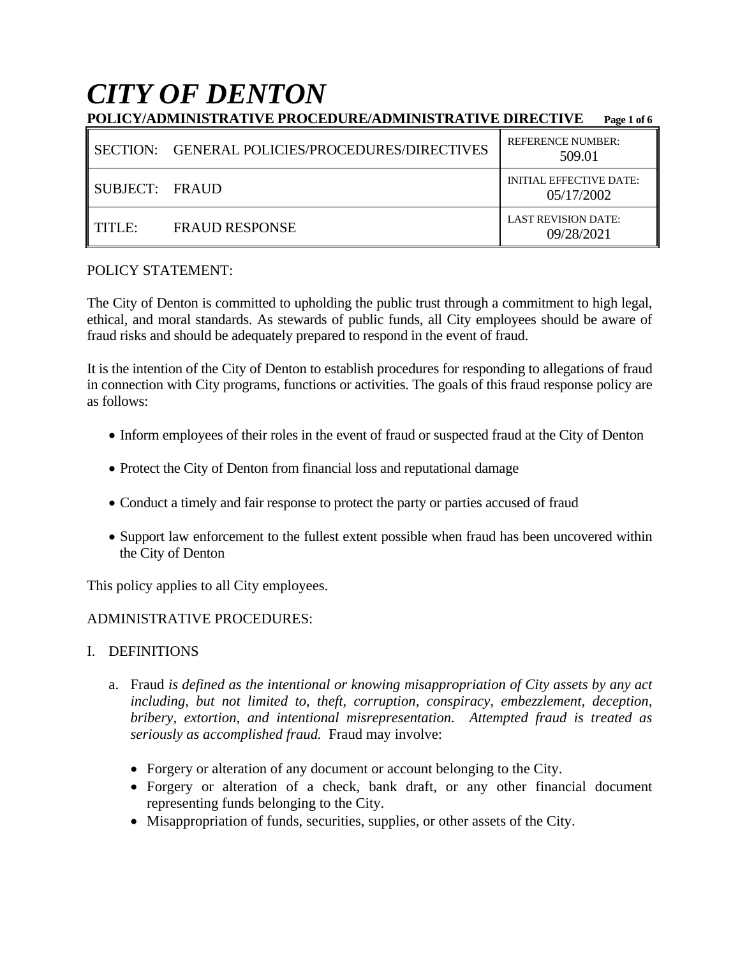# *CITY OF DENTON*

|                | POLICY/ADMINISTRATIVE PROCEDURE/ADMINISTRATIVE DIRECTIVE | Page 1 of 6                                  |
|----------------|----------------------------------------------------------|----------------------------------------------|
|                | SECTION: GENERAL POLICIES/PROCEDURES/DIRECTIVES          | <b>REFERENCE NUMBER:</b><br>509.01           |
| SUBJECT: FRAUD |                                                          | <b>INITIAL EFFECTIVE DATE:</b><br>05/17/2002 |
| TTITLE:        | <b>FRAUD RESPONSE</b>                                    | <b>LAST REVISION DATE:</b><br>09/28/2021     |

# POLICY STATEMENT:

The City of Denton is committed to upholding the public trust through a commitment to high legal, ethical, and moral standards. As stewards of public funds, all City employees should be aware of fraud risks and should be adequately prepared to respond in the event of fraud.

It is the intention of the City of Denton to establish procedures for responding to allegations of fraud in connection with City programs, functions or activities. The goals of this fraud response policy are as follows:

- Inform employees of their roles in the event of fraud or suspected fraud at the City of Denton
- Protect the City of Denton from financial loss and reputational damage
- Conduct a timely and fair response to protect the party or parties accused of fraud
- Support law enforcement to the fullest extent possible when fraud has been uncovered within the City of Denton

This policy applies to all City employees.

# ADMINISTRATIVE PROCEDURES:

# I. DEFINITIONS

- a. Fraud *is defined as the intentional or knowing misappropriation of City assets by any act including, but not limited to, theft, corruption, conspiracy, embezzlement, deception, bribery, extortion, and intentional misrepresentation. Attempted fraud is treated as seriously as accomplished fraud.* Fraud may involve:
	- Forgery or alteration of any document or account belonging to the City.
	- Forgery or alteration of a check, bank draft, or any other financial document representing funds belonging to the City.
	- Misappropriation of funds, securities, supplies, or other assets of the City.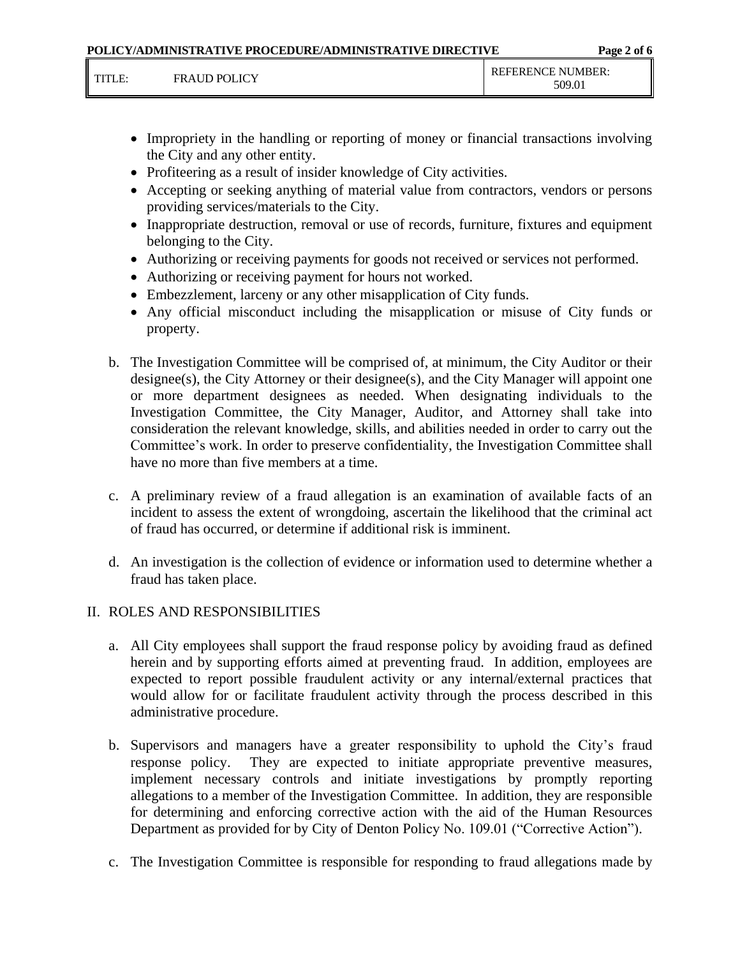|        |                     | POLICY/ADMINISTRATIVE PROCEDURE/ADMINISTRATIVE DIRECTIVE |                             | Page 2 of 6 |
|--------|---------------------|----------------------------------------------------------|-----------------------------|-------------|
| TITLE: | <b>FRAUD POLICY</b> |                                                          | REFERENCE NUMBER:<br>509.01 |             |

- Impropriety in the handling or reporting of money or financial transactions involving the City and any other entity.
- Profiteering as a result of insider knowledge of City activities.
- Accepting or seeking anything of material value from contractors, vendors or persons providing services/materials to the City.
- Inappropriate destruction, removal or use of records, furniture, fixtures and equipment belonging to the City.
- Authorizing or receiving payments for goods not received or services not performed.
- Authorizing or receiving payment for hours not worked.
- Embezzlement, larceny or any other misapplication of City funds.
- Any official misconduct including the misapplication or misuse of City funds or property.
- b. The Investigation Committee will be comprised of, at minimum, the City Auditor or their designee(s), the City Attorney or their designee(s), and the City Manager will appoint one or more department designees as needed. When designating individuals to the Investigation Committee, the City Manager, Auditor, and Attorney shall take into consideration the relevant knowledge, skills, and abilities needed in order to carry out the Committee's work. In order to preserve confidentiality, the Investigation Committee shall have no more than five members at a time.
- c. A preliminary review of a fraud allegation is an examination of available facts of an incident to assess the extent of wrongdoing, ascertain the likelihood that the criminal act of fraud has occurred, or determine if additional risk is imminent.
- d. An investigation is the collection of evidence or information used to determine whether a fraud has taken place.

# II. ROLES AND RESPONSIBILITIES

- a. All City employees shall support the fraud response policy by avoiding fraud as defined herein and by supporting efforts aimed at preventing fraud. In addition, employees are expected to report possible fraudulent activity or any internal/external practices that would allow for or facilitate fraudulent activity through the process described in this administrative procedure.
- b. Supervisors and managers have a greater responsibility to uphold the City's fraud response policy. They are expected to initiate appropriate preventive measures, implement necessary controls and initiate investigations by promptly reporting allegations to a member of the Investigation Committee. In addition, they are responsible for determining and enforcing corrective action with the aid of the Human Resources Department as provided for by City of Denton Policy No. 109.01 ("Corrective Action").
- c. The Investigation Committee is responsible for responding to fraud allegations made by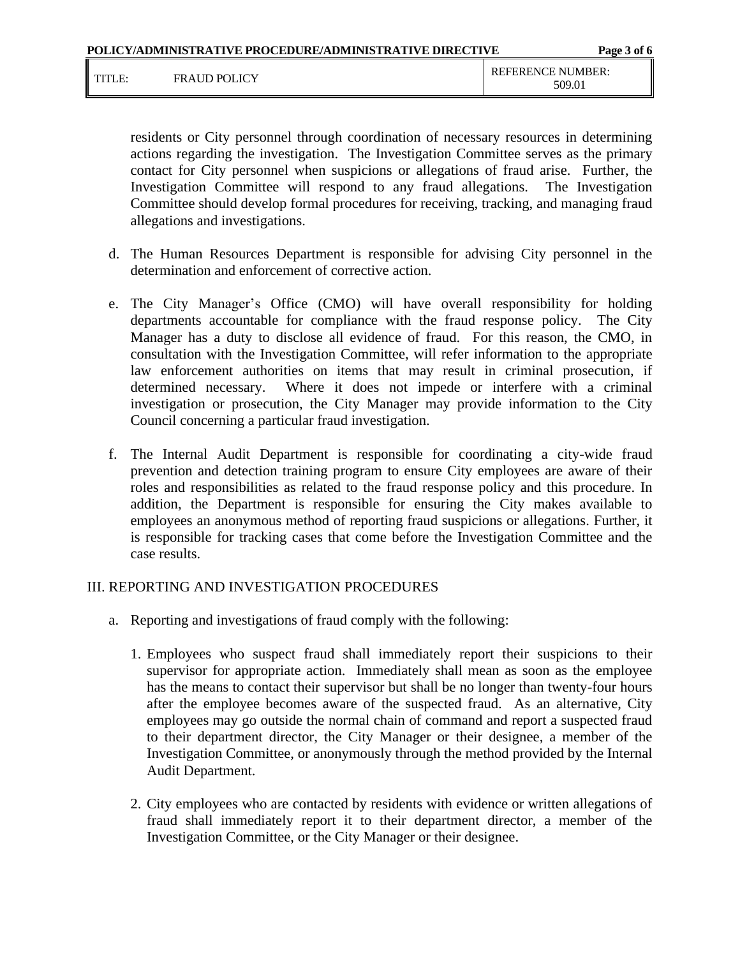|        |                     | POLICY/ADMINISTRATIVE PROCEDURE/ADMINISTRATIVE DIRECTIVE | Page 3 of 6                        |
|--------|---------------------|----------------------------------------------------------|------------------------------------|
| TITI F | <b>FRAUD POLICY</b> |                                                          | <b>REFERENCE NUMBER:</b><br>509.01 |

residents or City personnel through coordination of necessary resources in determining actions regarding the investigation. The Investigation Committee serves as the primary contact for City personnel when suspicions or allegations of fraud arise. Further, the Investigation Committee will respond to any fraud allegations. The Investigation Committee should develop formal procedures for receiving, tracking, and managing fraud allegations and investigations.

- d. The Human Resources Department is responsible for advising City personnel in the determination and enforcement of corrective action.
- e. The City Manager's Office (CMO) will have overall responsibility for holding departments accountable for compliance with the fraud response policy. The City Manager has a duty to disclose all evidence of fraud. For this reason, the CMO, in consultation with the Investigation Committee, will refer information to the appropriate law enforcement authorities on items that may result in criminal prosecution, if determined necessary. Where it does not impede or interfere with a criminal investigation or prosecution, the City Manager may provide information to the City Council concerning a particular fraud investigation.
- f. The Internal Audit Department is responsible for coordinating a city-wide fraud prevention and detection training program to ensure City employees are aware of their roles and responsibilities as related to the fraud response policy and this procedure. In addition, the Department is responsible for ensuring the City makes available to employees an anonymous method of reporting fraud suspicions or allegations. Further, it is responsible for tracking cases that come before the Investigation Committee and the case results.

### III. REPORTING AND INVESTIGATION PROCEDURES

- a. Reporting and investigations of fraud comply with the following:
	- 1. Employees who suspect fraud shall immediately report their suspicions to their supervisor for appropriate action. Immediately shall mean as soon as the employee has the means to contact their supervisor but shall be no longer than twenty-four hours after the employee becomes aware of the suspected fraud. As an alternative, City employees may go outside the normal chain of command and report a suspected fraud to their department director, the City Manager or their designee, a member of the Investigation Committee, or anonymously through the method provided by the Internal Audit Department.
	- 2. City employees who are contacted by residents with evidence or written allegations of fraud shall immediately report it to their department director, a member of the Investigation Committee, or the City Manager or their designee.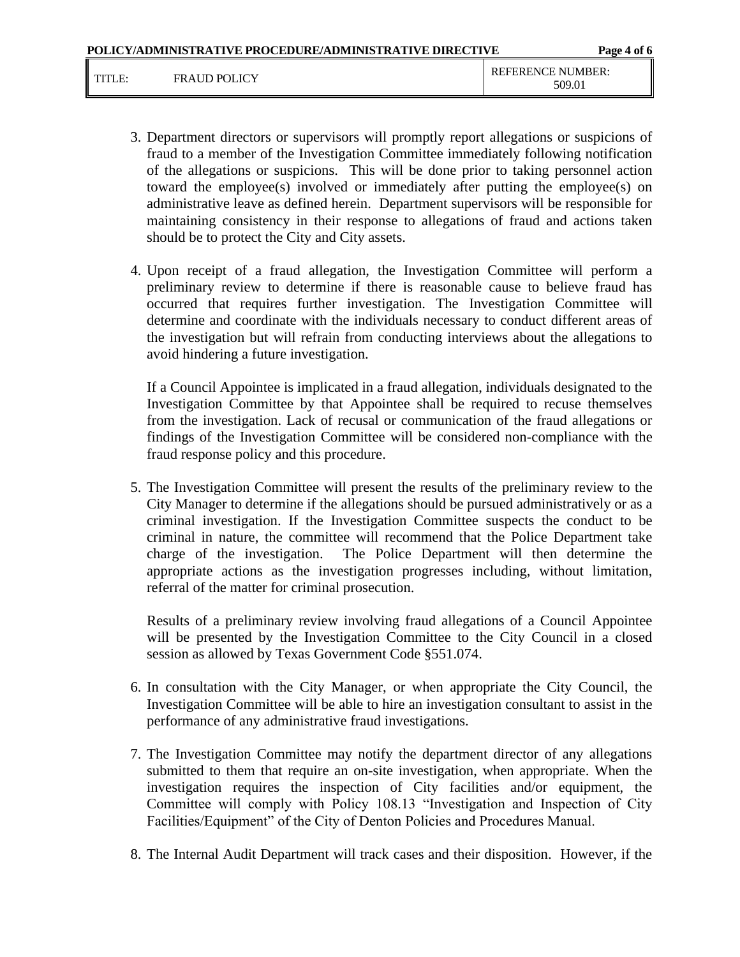- 3. Department directors or supervisors will promptly report allegations or suspicions of fraud to a member of the Investigation Committee immediately following notification of the allegations or suspicions. This will be done prior to taking personnel action toward the employee(s) involved or immediately after putting the employee(s) on administrative leave as defined herein. Department supervisors will be responsible for maintaining consistency in their response to allegations of fraud and actions taken should be to protect the City and City assets.
- 4. Upon receipt of a fraud allegation, the Investigation Committee will perform a preliminary review to determine if there is reasonable cause to believe fraud has occurred that requires further investigation. The Investigation Committee will determine and coordinate with the individuals necessary to conduct different areas of the investigation but will refrain from conducting interviews about the allegations to avoid hindering a future investigation.

If a Council Appointee is implicated in a fraud allegation, individuals designated to the Investigation Committee by that Appointee shall be required to recuse themselves from the investigation. Lack of recusal or communication of the fraud allegations or findings of the Investigation Committee will be considered non-compliance with the fraud response policy and this procedure.

5. The Investigation Committee will present the results of the preliminary review to the City Manager to determine if the allegations should be pursued administratively or as a criminal investigation. If the Investigation Committee suspects the conduct to be criminal in nature, the committee will recommend that the Police Department take charge of the investigation. The Police Department will then determine the appropriate actions as the investigation progresses including, without limitation, referral of the matter for criminal prosecution.

Results of a preliminary review involving fraud allegations of a Council Appointee will be presented by the Investigation Committee to the City Council in a closed session as allowed by Texas Government Code §551.074.

- 6. In consultation with the City Manager, or when appropriate the City Council, the Investigation Committee will be able to hire an investigation consultant to assist in the performance of any administrative fraud investigations.
- 7. The Investigation Committee may notify the department director of any allegations submitted to them that require an on-site investigation, when appropriate. When the investigation requires the inspection of City facilities and/or equipment, the Committee will comply with Policy 108.13 "Investigation and Inspection of City Facilities/Equipment" of the City of Denton Policies and Procedures Manual.
- 8. The Internal Audit Department will track cases and their disposition. However, if the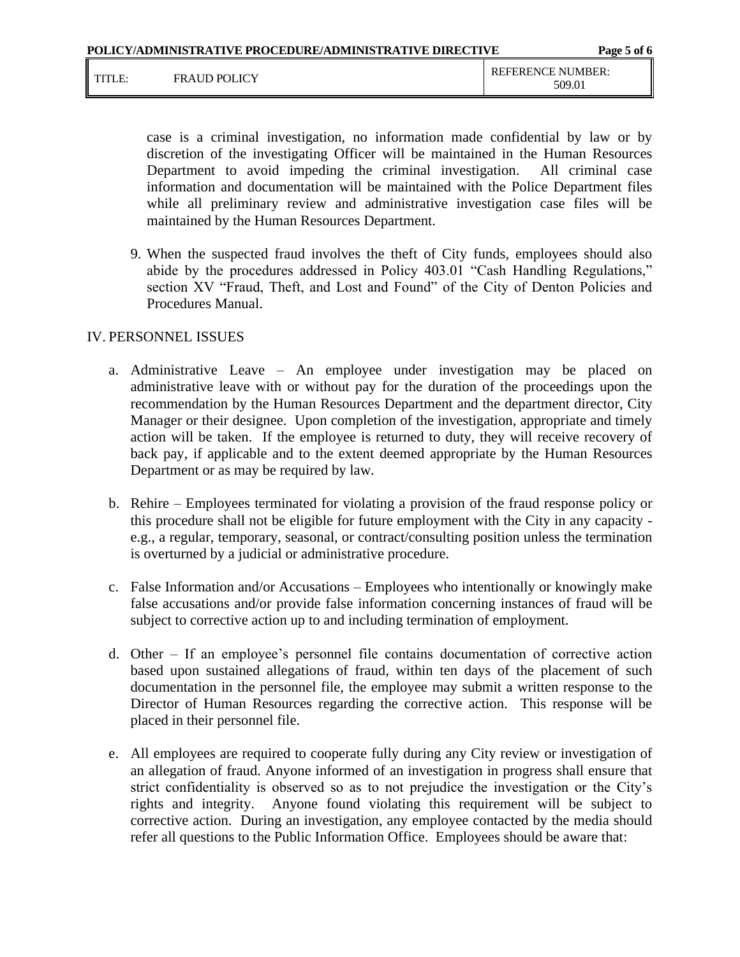|        |                     | POLICY/ADMINISTRATIVE PROCEDURE/ADMINISTRATIVE DIRECTIVE | Page 5 of 6                        |
|--------|---------------------|----------------------------------------------------------|------------------------------------|
| TITLE: | <b>FRAUD POLICY</b> |                                                          | <b>REFERENCE NUMBER:</b><br>509.01 |

case is a criminal investigation, no information made confidential by law or by discretion of the investigating Officer will be maintained in the Human Resources Department to avoid impeding the criminal investigation. All criminal case information and documentation will be maintained with the Police Department files while all preliminary review and administrative investigation case files will be maintained by the Human Resources Department.

9. When the suspected fraud involves the theft of City funds, employees should also abide by the procedures addressed in Policy 403.01 "Cash Handling Regulations," section XV "Fraud, Theft, and Lost and Found" of the City of Denton Policies and Procedures Manual.

### IV. PERSONNEL ISSUES

- a. Administrative Leave An employee under investigation may be placed on administrative leave with or without pay for the duration of the proceedings upon the recommendation by the Human Resources Department and the department director, City Manager or their designee. Upon completion of the investigation, appropriate and timely action will be taken. If the employee is returned to duty, they will receive recovery of back pay, if applicable and to the extent deemed appropriate by the Human Resources Department or as may be required by law.
- b. Rehire Employees terminated for violating a provision of the fraud response policy or this procedure shall not be eligible for future employment with the City in any capacity e.g., a regular, temporary, seasonal, or contract/consulting position unless the termination is overturned by a judicial or administrative procedure.
- c. False Information and/or Accusations Employees who intentionally or knowingly make false accusations and/or provide false information concerning instances of fraud will be subject to corrective action up to and including termination of employment.
- d. Other If an employee's personnel file contains documentation of corrective action based upon sustained allegations of fraud, within ten days of the placement of such documentation in the personnel file, the employee may submit a written response to the Director of Human Resources regarding the corrective action. This response will be placed in their personnel file.
- e. All employees are required to cooperate fully during any City review or investigation of an allegation of fraud. Anyone informed of an investigation in progress shall ensure that strict confidentiality is observed so as to not prejudice the investigation or the City's rights and integrity. Anyone found violating this requirement will be subject to corrective action. During an investigation, any employee contacted by the media should refer all questions to the Public Information Office. Employees should be aware that: